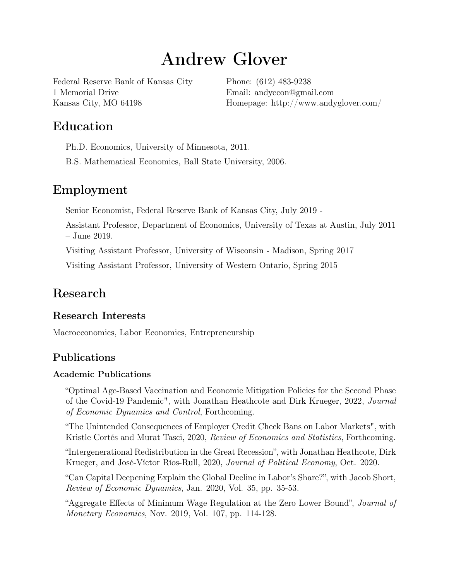# Andrew Glover

Federal Reserve Bank of Kansas City 1 Memorial Drive Kansas City, MO 64198

Phone: (612) 483-9238 Email: [andyecon@gmail.com](mailto:andyecon@gmail.com) Homepage: [http://www.andyglover.com/](http://www.andyglover.com)

# Education

Ph.D. Economics, University of Minnesota, 2011.

B.S. Mathematical Economics, Ball State University, 2006.

# Employment

Senior Economist, Federal Reserve Bank of Kansas City, July 2019 -

Assistant Professor, Department of Economics, University of Texas at Austin, July 2011 – June 2019.

Visiting Assistant Professor, University of Wisconsin - Madison, Spring 2017

Visiting Assistant Professor, University of Western Ontario, Spring 2015

# Research

# Research Interests

Macroeconomics, Labor Economics, Entrepreneurship

# Publications

### Academic Publications

"Optimal Age-Based Vaccination and Economic Mitigation Policies for the Second Phase of the Covid-19 Pandemic", with Jonathan Heathcote and Dirk Krueger, 2022, Journal of Economic Dynamics and Control, Forthcoming.

"The Unintended Consequences of Employer Credit Check Bans on Labor Markets", with Kristle Cortés and Murat Tasci, 2020, Review of Economics and Statistics, Forthcoming.

"Intergenerational Redistribution in the Great Recession", with Jonathan Heathcote, Dirk Krueger, and José-Víctor Ríos-Rull, 2020, Journal of Political Economy, Oct. 2020.

"Can Capital Deepening Explain the Global Decline in Labor's Share?", with Jacob Short, Review of Economic Dynamics, Jan. 2020, Vol. 35, pp. 35-53.

"Aggregate Effects of Minimum Wage Regulation at the Zero Lower Bound", Journal of Monetary Economics, Nov. 2019, Vol. 107, pp. 114-128.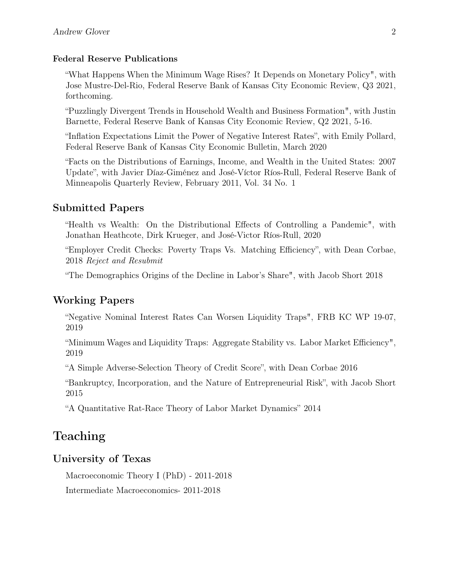#### Federal Reserve Publications

"What Happens When the Minimum Wage Rises? It Depends on Monetary Policy", with Jose Mustre-Del-Rio, Federal Reserve Bank of Kansas City Economic Review, Q3 2021, forthcoming.

"Puzzlingly Divergent Trends in Household Wealth and Business Formation", with Justin Barnette, Federal Reserve Bank of Kansas City Economic Review, Q2 2021, 5-16.

"Inflation Expectations Limit the Power of Negative Interest Rates", with Emily Pollard, Federal Reserve Bank of Kansas City Economic Bulletin, March 2020

"Facts on the Distributions of Earnings, Income, and Wealth in the United States: 2007 Update", with Javier Díaz-Giménez and José-Víctor Ríos-Rull, Federal Reserve Bank of Minneapolis Quarterly Review, February 2011, Vol. 34 No. 1

#### Submitted Papers

"Health vs Wealth: On the Distributional Effects of Controlling a Pandemic", with Jonathan Heathcote, Dirk Krueger, and José-Victor Ríos-Rull, 2020

"Employer Credit Checks: Poverty Traps Vs. Matching Efficiency", with Dean Corbae, 2018 Reject and Resubmit

"The Demographics Origins of the Decline in Labor's Share", with Jacob Short 2018

#### Working Papers

"Negative Nominal Interest Rates Can Worsen Liquidity Traps", FRB KC WP 19-07, 2019

"Minimum Wages and Liquidity Traps: Aggregate Stability vs. Labor Market Efficiency", 2019

"A Simple Adverse-Selection Theory of Credit Score", with Dean Corbae 2016

"Bankruptcy, Incorporation, and the Nature of Entrepreneurial Risk", with Jacob Short 2015

"A Quantitative Rat-Race Theory of Labor Market Dynamics" 2014

### Teaching

#### University of Texas

Macroeconomic Theory I (PhD) - 2011-2018

Intermediate Macroeconomics- 2011-2018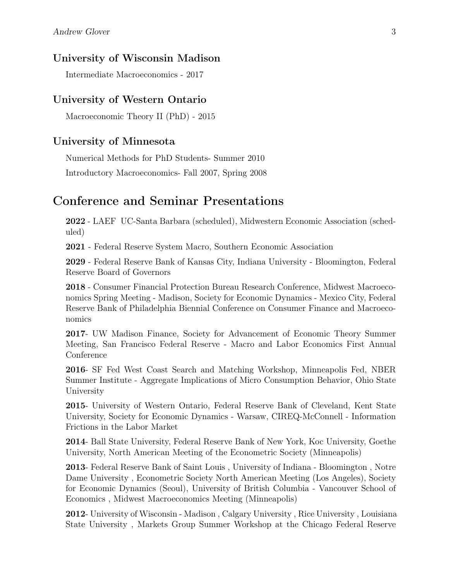#### University of Wisconsin Madison

Intermediate Macroeconomics - 2017

#### University of Western Ontario

Macroeconomic Theory II (PhD) - 2015

#### University of Minnesota

Numerical Methods for PhD Students- Summer 2010

Introductory Macroeconomics- Fall 2007, Spring 2008

#### Conference and Seminar Presentations

2022 - LAEF UC-Santa Barbara (scheduled), Midwestern Economic Association (scheduled)

2021 - Federal Reserve System Macro, Southern Economic Association

2029 - Federal Reserve Bank of Kansas City, Indiana University - Bloomington, Federal Reserve Board of Governors

2018 - Consumer Financial Protection Bureau Research Conference, Midwest Macroeconomics Spring Meeting - Madison, Society for Economic Dynamics - Mexico City, Federal Reserve Bank of Philadelphia Biennial Conference on Consumer Finance and Macroeconomics

2017- UW Madison Finance, Society for Advancement of Economic Theory Summer Meeting, San Francisco Federal Reserve - Macro and Labor Economics First Annual Conference

2016- SF Fed West Coast Search and Matching Workshop, Minneapolis Fed, NBER Summer Institute - Aggregate Implications of Micro Consumption Behavior, Ohio State University

2015- University of Western Ontario, Federal Reserve Bank of Cleveland, Kent State University, Society for Economic Dynamics - Warsaw, CIREQ-McConnell - Information Frictions in the Labor Market

2014- Ball State University, Federal Reserve Bank of New York, Koc University, Goethe University, North American Meeting of the Econometric Society (Minneapolis)

2013- Federal Reserve Bank of Saint Louis , University of Indiana - Bloomington , Notre Dame University , Econometric Society North American Meeting (Los Angeles), Society for Economic Dynamics (Seoul), University of British Columbia - Vancouver School of Economics , Midwest Macroeconomics Meeting (Minneapolis)

2012- University of Wisconsin - Madison , Calgary University , Rice University , Louisiana State University , Markets Group Summer Workshop at the Chicago Federal Reserve